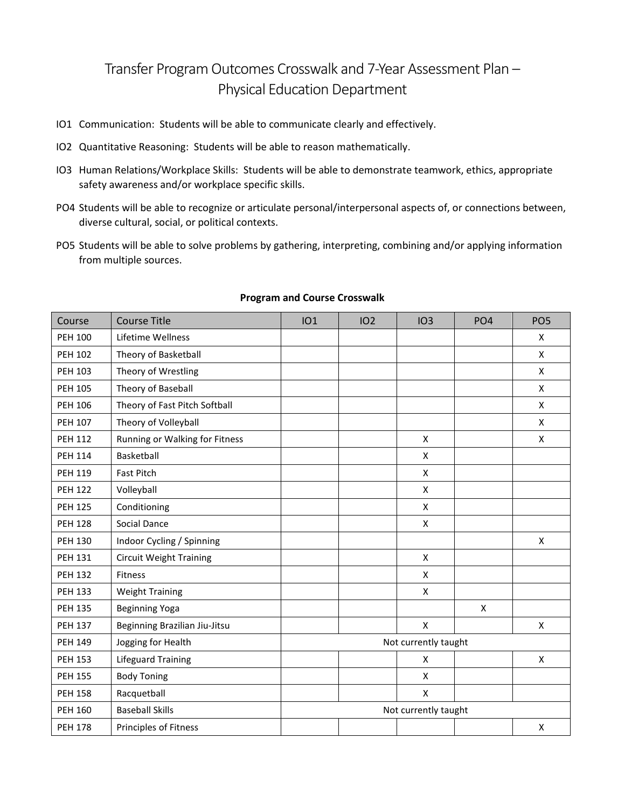## Transfer Program Outcomes Crosswalk and 7-Year Assessment Plan – Physical Education Department

- IO1 Communication: Students will be able to communicate clearly and effectively.
- IO2 Quantitative Reasoning: Students will be able to reason mathematically.
- IO3 Human Relations/Workplace Skills: Students will be able to demonstrate teamwork, ethics, appropriate safety awareness and/or workplace specific skills.
- PO4 Students will be able to recognize or articulate personal/interpersonal aspects of, or connections between, diverse cultural, social, or political contexts.
- PO5 Students will be able to solve problems by gathering, interpreting, combining and/or applying information from multiple sources.

| Course         | <b>Course Title</b>            | IO1                  | IO <sub>2</sub> | IO <sub>3</sub>    | PO <sub>4</sub> | PO <sub>5</sub> |  |  |  |
|----------------|--------------------------------|----------------------|-----------------|--------------------|-----------------|-----------------|--|--|--|
| <b>PEH 100</b> | Lifetime Wellness              |                      |                 |                    |                 | X               |  |  |  |
| <b>PEH 102</b> | Theory of Basketball           |                      |                 |                    |                 | X               |  |  |  |
| <b>PEH 103</b> | Theory of Wrestling            |                      |                 |                    |                 | X               |  |  |  |
| <b>PEH 105</b> | Theory of Baseball             |                      |                 |                    |                 | X               |  |  |  |
| <b>PEH 106</b> | Theory of Fast Pitch Softball  |                      |                 |                    |                 | X               |  |  |  |
| <b>PEH 107</b> | Theory of Volleyball           |                      |                 |                    |                 | $\mathsf{x}$    |  |  |  |
| <b>PEH 112</b> | Running or Walking for Fitness |                      |                 | $\pmb{\mathsf{X}}$ |                 | $\mathsf{x}$    |  |  |  |
| <b>PEH 114</b> | Basketball                     |                      |                 | X                  |                 |                 |  |  |  |
| <b>PEH 119</b> | Fast Pitch                     |                      |                 | X                  |                 |                 |  |  |  |
| <b>PEH 122</b> | Volleyball                     |                      |                 | X                  |                 |                 |  |  |  |
| <b>PEH 125</b> | Conditioning                   |                      |                 | X                  |                 |                 |  |  |  |
| <b>PEH 128</b> | Social Dance                   |                      |                 | X                  |                 |                 |  |  |  |
| <b>PEH 130</b> | Indoor Cycling / Spinning      |                      |                 |                    |                 | X               |  |  |  |
| <b>PEH 131</b> | <b>Circuit Weight Training</b> |                      |                 | X                  |                 |                 |  |  |  |
| <b>PEH 132</b> | Fitness                        |                      |                 | X                  |                 |                 |  |  |  |
| <b>PEH 133</b> | <b>Weight Training</b>         |                      |                 | X                  |                 |                 |  |  |  |
| <b>PEH 135</b> | Beginning Yoga                 |                      |                 |                    | X               |                 |  |  |  |
| <b>PEH 137</b> | Beginning Brazilian Jiu-Jitsu  |                      |                 | X                  |                 | X               |  |  |  |
| <b>PEH 149</b> | Jogging for Health             | Not currently taught |                 |                    |                 |                 |  |  |  |
| <b>PEH 153</b> | <b>Lifeguard Training</b>      |                      |                 | X                  |                 | X               |  |  |  |
| <b>PEH 155</b> | <b>Body Toning</b>             |                      |                 | X                  |                 |                 |  |  |  |
| <b>PEH 158</b> | Racquetball                    |                      |                 | X                  |                 |                 |  |  |  |
| <b>PEH 160</b> | <b>Baseball Skills</b>         | Not currently taught |                 |                    |                 |                 |  |  |  |
| <b>PEH 178</b> | Principles of Fitness          |                      |                 |                    |                 | X               |  |  |  |

## **Program and Course Crosswalk**